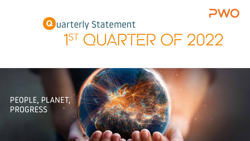

# Quarterly Statement 1ST QUARTER OF 2022

# PEOPLE, PLANET, PROGRESS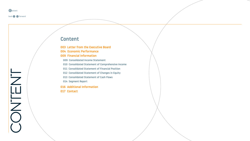<span id="page-1-0"></span>

**back <b>o** forward

# Content

- [Letter from the Executive Board](#page-2-0)
- [Economic Performance](#page-3-0)
- [Financial Information](#page-8-0)
- [Consolidated Income Statement](#page-8-1)
- [Consolidated Statement of Comprehensive Income](#page-9-0)
- [Consolidated Statement of Financial Position](#page-10-0)
- [Consolidated Statement of Changes in Equity](#page-11-0)
- [Consolidated Statement of Cash Flows](#page-12-0)
- [Segment Report](#page-13-0)
- [Additional Information](#page-15-0)
- [Contact](#page-16-0)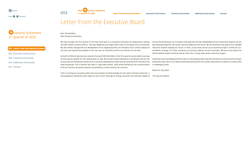

1st Quarter of 2022 **[Letter from the Executive Board](#page-2-0) [Economic Performance](#page-3-0) [Financial Information](#page-8-2) [Additional Information](#page-15-0) [Contact](#page-16-0)**

# <span id="page-2-0"></span>Letter From the Executive Board

Quarterly Statement 1<sup>st</sup> Quarter of 2022

#### **003 [Letter from the Executive Board](#page-2-0)**

004 [Economic Performance](#page-3-0) 

009 [Financial Information](#page-8-0) 

016 [Additional Information](#page-15-0) 

017 [Contact](#page-16-0) 

#### Dear Shareholders, Dear Business Associates,

We have brought the first quarter of the new fiscal year to a successful conclusion as measured by revenue and EBIT before currency effects. This was helped by price adjustments due to increased costs of materials. We also closely manage the cost development of our ongoing business. On the basis of our careful analysis of the risks and rewards foreseeable at this time, we can therefore confirm our forecast for the year.

And with a lifetime new business volume of around EUR 210 million in the first quarter, we are well on our way to securing our growth for the coming years as well. We are particularly pleased by a prototype contract for various fuel cell components based on our successful development work that we received after the end of the reporting period. This is another key step in a new sales market. 2022 will be defined by the transformation of all our business processes towards sustainability, as illustrated by this contract.

this by the Ukraine war. As a company that operates entirely independently from combustion engines, we are optimally positioned for the carbon-neutral mobility of the future. We can therefore fully align all our available resources towards shaping our future. In 2021, as you know, we set up an extensive project to hone our sustainability strategy to further accelerate our journey towards net-zero emissions. We have since joined the Science Based Targets initiative and set short-term, Group-wide carbon reduction targets.

Innovation and technology will be the key to sustainable growth and will contribute to enhancing the Group's enterprise value. All of us at PWO are working hard and with the utmost motivation to make this a reality even in challenging times.

Oberkirch, May 2022

Time is running out to quickly reduce the consumption of fossil energies for the sake of climate protection. A new geopolitical dimension with regard to the current shortage of energy resources has now been added to The Executive Board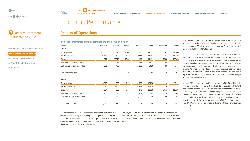# Q uarterly Statement 1st Quarter of 2022

- 003 [Letter from the Executive Board](#page-2-0)
- **004 [Economic Performance](#page-3-0)**
- 009 [Financial Information](#page-8-0)
- 016 [Additional Information](#page-15-0)
- 017 [Contact](#page-16-0)

<span id="page-3-0"></span>

| Economic Performance |
|----------------------|
|                      |

**004** PWO **Q** uarterly Statement

### **Results of Operations**

#### **Selected Information on the Segments and the Group by Region**

| in EURk                         | <b>Germany</b> | <b>Czechia</b> | <b>Canada</b> | <b>Mexico</b> | <b>China</b> | <b>Consolidation</b> | <b>Group</b> |
|---------------------------------|----------------|----------------|---------------|---------------|--------------|----------------------|--------------|
| 3M 2022                         |                |                |               |               |              |                      |              |
| Total revenue                   | 65,806         | 27,970         | 13,460        | 19,186        | 11,931       | 87                   | 138,440      |
| External revenue                | 61,331         | 25,697         | 13,246        | 19,153        | 11,251       | 87                   | 130,765      |
| Gross revenue                   | 65,877         | 27,970         | 13,460        | 19,186        | 11,931       | $-7,588$             | 130,836      |
| EBIT before currency effects    | 1,564          | 2,583          | 416           | 2,188         | 1,022        | 68                   | 7,841        |
| EBIT including currency effects | 1,661          | 2,450          | 416           | 2,168         | 1,020        | 56                   | 7,771        |
| Capital expenditure             | 740            | 970            | 268           | 620           | 44           | 0                    | 2,642        |
| 3M 2021                         |                |                |               |               |              |                      |              |
| Total revenue                   | 58,618         | 20,609         | 7,378         | 16,378        | 12,230       | 0                    | 115,213      |
| External revenue                | 55,676         | 19,856         | 7,273         | 16,358        | 11,019       | 0                    | 110,182      |
| Gross revenue                   | 58,804         | 20,609         | 7,378         | 16,378        | 12,230       | $-5,032$             | 110,367      |
| EBIT before currency effects    | 850            | 1,676          | $-281$        | 1,953         | 1,465        | 24                   | 5,687        |
| EBIT including currency effects | 882            | 1,666          | $-332$        | 1,953         | 1,690        | 66                   | 5,925        |
| Capital expenditure             | 1,044          | 550            | 264           | 97            | 96           | 0                    | 2,051        |

The massive increases in procurement prices and the resulting growth in revenue caused the cost of materials ratio to rise from 53.2% in the previous year to 59.0% in the reporting quarter. Conversely, the staff costs ratio fell from 28.0% to 23.9%.

The modest overall investing activity in the pandemic years caused the depreciation and amortization rate to decline to 4.7% after 5.3% in the previous year. There was an absolute reduction in other operating expenses as against the previous year. This was partly as a result of lower currency expenses, which were accordingly also offset by lower currency income. Adjusted for this effect, other operating expenses were down by EUR 0.9 million year-on-year. In particular, savings were achieved in legal and consulting costs, temporary staff and the expenses grouped into the "miscellaneous" item.

In total, EBIT before currency effects increased to EUR 7.8 million in the first three months of the current fiscal year (previous year: EUR 5.7 million). It amounted to EUR 7.8 million including currency effects as well (previous year: EUR 5.9 million). Finance expenses were essentially at the same level as in the previous year at EUR 1.4 million (previous year: EUR 1.5 million). After slightly higher tax expenses than in the previous year, the net profit for the period improved to EUR 5.2 million (previous year: EUR 4.1 million) and earnings per share to EUR 1.67 (previous year: EUR 1.32).

The development in the results of operations in the first quarter of 2022 This played a large part in the increase in revenue in the reporting pewas largely shaped by a gratifying business performance on the one hand, but also by significant increases in procurement prices on the other. We were able to find amicable solutions with our customers for significant shares of these price increases.

riod. The outbreak of the Ukraine war affected our locations in different ways. These developments are explained individually in the sections below.

1st Quarter of 2022 **[Letter from the Executive Board](#page-2-0) [Economic Performance](#page-3-0) [Financial Information](#page-8-2) [Additional Information](#page-15-0) [Contact](#page-16-0)**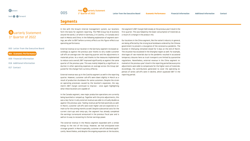

### **Segments**

Quarterly Statement 1st Quarter of 2022

#### 003 [Letter from the Executive Board](#page-2-0)

**004 [Economic Performance](#page-3-0)** 

- 009 [Financial Information](#page-8-0)  016 [Additional Information](#page-15-0)
- 017 [Contact](#page-16-0)

In line with the Group's internal management system, our locations form the basis for segment reporting. The PWO Group has 8 locations around the world, 1 of which in Germany, 2 in Czechia, 1 in Canada and 2 each in Mexico and China. In the following explanation of segment earnings, we refer to EBIT before currency effects as this figure reflects our operating performance.

External revenue at our location in the Germany segment increased accordingly as against the previous year thanks to very stable customer call-offs on average over the reporting quarter and the adjustments in materials prices. As a result, and thanks to the measures implemented to reduce costs overall, EBIT improved significantly as against the same quarter of the previous year. This was mainly helped by a significant reduction in other operating expenses on average across the Group (adjusted for the change from currency effects).

External revenue was up in the Czechia segment as well in the reporting quarter. However, customer call-offs were down slightly in March as a result of production shutdowns for some customers. Despite the strain on operating processes caused by the location's expansion, the segment's EBIT margin continued to improve – once again highlighting what these locations are capable of.

In the Canada segment, new major production operations are currently being launched or ramped up. Together with the price adjustments, this was a key factor in why external revenue was able to virtually double as against the previous year. Tooling revenue performed positively as well. In March, customer call-offs were even higher and are expected to remain so for the coming months as well. Despite substantial costs for the current start-ups and ramp-ups, the segment has already completed the earnings turnaround announced in the previous fiscal year and is well on its way to recovering its former earnings power.

The external revenue in the Mexico segment expanded with a similar energy to the rest of the Group. However, we had anticipated even stronger growth. In March especially, customer call-offs declined significantly. Nevertheless, and despite the ongoing expansion at the location, the segment's EBIT margin held steady at the previous year's level in the first quarter. This was helped by the lower consumption of materials as a result of a change in the product mix.

Our locations in the China segment, like the nation's industry in general, are being affected by the strong local lockdowns ordered by the Chinese government to prevent a resurgence of the coronavirus pandemic. The location in Shenyang remained closed for 5 days at the end of March. The situation has escalated in the Shanghai region as well. For example, shortages of raw materials due to the pandemic resulted in occasional temporary closures here as truck transports are limited by quarantine regulations. Nonetheless, external revenue in the China segment remained at the previous year's level in the reporting period because price adjustments were able to compensate for the higher costs of materials. Accordingly, the contributions generated to cover the operating expenses of series call-offs were in decline, which squeezed EBIT in the reporting period.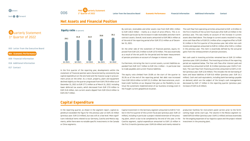

### **Net Assets and Financial Position**

### Quarterly Statement 1st Quarter of 2022



017 [Contact](#page-16-0) 



In the first quarter of the reporting year, developments within the statement of financial position were characterized by consistently low capital expenditure on the one hand and the massive surge in procurement prices on the other. As a result, property, plant and equipment declined slightly as the quarter progressed from EUR 179.9 million as of December 31, 2021 to EUR 177.1 million as of March 31, 2022. Including lower deferred tax assets, which decreased from EUR 17.9 million to EUR 15.8 million, non-current assets dipped from EUR 224.6 million to EUR 219.7 million.

By contrast, receivables and other assets rose from EUR 109.1 million to EUR 130.0 million – mainly as a result of price effects. This is reflected in particular by the increase in trade receivables and short-term contract assets. Overall, total assets amounted to EUR 390.4 million as of the end of the reporting period after EUR 373.3 million as of December 31, 2021.

On the other side of the statement of financial position, equity improved from EUR 125.3 million to EUR 137.0 million. This was essentially as a result of the net profit for the period and the lower measurement of pension provisions on account of changes in interest rates.

Furthermore, mirroring the rise in current assets, current liabilities expanded from EUR 112.7 million to EUR 134.1 million – in particular due to trade payables and current finance liabilities.

The equity ratio climbed from 33.6% at the start of the quarter to 35.1% as of the end of the reporting period. Net debt rose increased from EUR 103.6 million to EUR 111.3 million. We have extensive, unutilized credit facilities at our disposal that give us the flexibility to continue the systematic implementation of our business strategy even in the fraught current geopolitical situation.

The cash flow from operating activities amounted to EUR -4.9 million in the first 3 months of the current fiscal year after EUR 4.0 million in the previous year. This was mainly on account of the increase in current assets described above. The change in current assets resulted in a negative cash flow effect of EUR 25.1 million after a negative effect of EUR 9.1 million in the first quarter of the previous year. Net other non-cash income and expenses amounted to EUR 6.1 million after EUR 4.1 million in the previous year. This item is essentially defined by the actuarial gains from the remeasurement of pension provisions.

Net cash used in investing activities remained low at EUR 2.0 million (previous year: EUR 1.8 million). The investing activities of the reporting period are explained below. The free cash flow after interest paid and received thus amounted to EUR -8.3 million (previous year: EUR 0.7 million). The cash flow from financing activities amounted to EUR 5.2 million (previous year: EUR 12.6 million). This includes the net borrowing of loans and lease liabilities of EUR 6.6 million (previous year: EUR 14.1 million). Cash and cash equivalents, including bank borrowings payable on demand, which are the subject of the Group's cash management, decreased by EUR 1.7 million in the reporting quarter (previous year: increase of EUR 14.8 million).

### **Capital Expenditure**

In the reporting quarter, as shown in the segment report, capital expenditure exceeded the figure for the previous year at EUR 2.6 million (previous year: EUR 2.0 million), but was still at a low level. More significant individual items related to our Germany, Czechia and Mexico segments, while there were no notable specific investments in the Canada or China segments.

Capital investment in the Germany segment amounted to EUR 0.7 million in the first quarter of the current fiscal year (previous year: EUR 1.0 million), including in particular a project-related extension of the pressing plant, which is due to be completed by the end of this year. In the Czechia segment, capital expenditure amounted to EUR 1.0 million in the first 3 months (previous year: EUR 0.6 million) and mainly related to

production facilities for instrument panel carriers prior to the forthcoming major series start-ups. The volume in the Mexico segment totaled EUR 0.6 million (previous year: EUR 0.1 million) and was essentially for the ongoing expansion of our logistics space and the project-related investment in the pressing plant.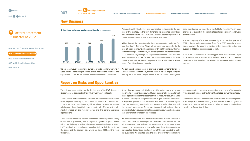### **New Business**

| <b>Q</b> uarterly Statement     |
|---------------------------------|
| 1 <sup>st</sup> Quarter of 2022 |

003 [Letter from the Executive Board](#page-2-0) 

**004 [Economic Performance](#page-3-0)** 

009 [Financial Information](#page-8-0) 

016 [Additional Information](#page-15-0) 

017 [Contact](#page-16-0) 

**Lifetime volume series and tools** (in EUR million)



We are continuously stepping up our sales efforts, regularly working in global teams – consisting of several of our international locations and departments – and we are focused on our development capabilities.

The consistently high level of new business is a testament to the success of this strategy. In the first 3 months, we generated a new business volume of around EUR 210 million. This includes tooling volumes in connection with series orders of around EUR 10 million.

A high share of the current new business was accounted for by our German location in Oberkirch. Above all, we were very successful in the area of ready-to-mount subassemblies with highly complex, thermoformed housings. Furthermore, we are delighted by a substantial additional volume for lightweight air suspension components. We are excellently positioned in state-of-the-art electrohydraulic systems for brake servos as well, and we deliver components that are installed in a wide range of vehicles of various models.

We can report a major order in the field of seat components for our Czech locations. Furthermore, moving forward we will be providing the housing for an on-board charger for one of our customers, thereby once again contributing our expertise in the field of e-mobility. The on-board charger is a key part of the vehicle's fast-charging system and thus its electrification.

The vast majority of the new business signed in the first quarter of 2022 is due to go into production from fiscal 2023 onwards. In some cases, however, the volume of existing orders planned to go into production in 2022 has been increased as well.

A key aspect of our orders is supplying platforms that are used to produce various vehicle models with different start-up and phase-out times. Our orders therefore typically last for between 8 and 10 years on average.

### **Report on Risks and Opportunities**

The risks and opportunities for the development of the PWO Group and its segments as described in the 2021 annual report still apply.

A most serious new development is the war between Russia and Ukraine, which began on February 24, 2022. We do not have locations of our own in either of these countries or significant direct customer or supplier relationships there. Nonetheless, we are naturally affected by the substantial impact on the mobility sector and the general economic repercussions.

These include temporary declines in demand, the disruption of supply chains and, in particular, further significant growth in procurement prices. Our industry experienced massive production slumps in March 2022; key institutions and expert panels withdrew their forecasts for the sector and the economy as a whole for fiscal 2022 and the years thereafter.

At this time, we cannot realistically assess the further course of the war, the effects of current or presumed future sanctions by the western alliance against Russia or the response from third countries such as China or Japan. Similarly, it is not possible for us to give a reliable assessment of any major, global economic distortion as a result of a possible significant contraction in growth in China as a result of its lockdowns to curb the coronavirus pandemic. Recent events make it nigh on impossible to predict the future development of increases in procurement prices, and thus they are not covered by our forecast.

We have reassessed the risks and rewards for fiscal 2022 on the basis of the current situation. In doing so, we have taken into account the new price agreements reached with our customers in recent months and contemporary procurement prices. As far as we deem it appropriate, we have applied discounts on the latest call-off figures reported to us by our customers. We thus feel that the risks presently foreseeable have

been appropriately taken into account. Our assessment of the opportunities that still existed at the start of fiscal 2022 is much lower today.

Our business forecasts do not include estimates of future developments in exchange rates. We use hedging to avoid currency risks. Our goal is to ensure the currency parities assumed when an order is received and thereby the forecast cash flows.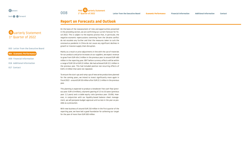

#### 003 [Letter from the Executive Board](#page-2-0)

- **004 [Economic Performance](#page-3-0)**
- 009 [Financial Information](#page-8-0)
- 016 [Additional Information](#page-15-0)
- 017 [Contact](#page-16-0)

### **Report on Forecasts and Outlook**

**OO8** PWO **Q** uarterly Statement

On the basis of the reassessment of risks and opportunities presented in the preceding section, we are confirming our current forecast for fiscal 2022. This is subject to the express proviso that, in particular, the negative economic repercussions stemming from the Ukraine conflict do not escalate any further and that the measures taken to curb the coronavirus pandemic in China do not cause any significant declines in growth or massive supply chain disruption.

Mainly as a result or price adjustments in line with the use of materials for our products and price increases at our suppliers, we expect revenue to grow from EUR 404.3 million in the previous year to around EUR 480 million in the reporting year. EBIT before currency effects will be within a range of EUR 19 to EUR 22 million. We had achieved EUR 22.1 million in the previous year. This had included positive non-recurring effects of EUR 2.3 million that were not repeated.

To ensure the start-ups and ramp-ups of new series productions planned for the coming years, we intend to invest significantly more again in fiscal 2022 – around EUR 30 million after EUR 22.1 million in the previous year.

This planning is expected to produce a breakeven free cash flow (previous year: EUR 4.9 million), a dynamic gearing of 2.5 to 3.0 years (previous year: 2.2 years) and a stable equity ratio (previous year: 33.6%). However, in conjunction with our liquidity-based balance sheet management, we will postpone budget approval until as late in the year as possible as a precaution.

With new business of around EUR 210 million in the first quarter of the reporting year, we have laid a good foundation for achieving our target for the year of more than EUR 500 million.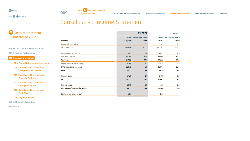<span id="page-8-2"></span>

**back <br>
••** forward



<span id="page-8-0"></span>

# <span id="page-8-1"></span>Consolidated Income Statement

| <b>Q</b> uarterly Statement |
|-----------------------------|
| 1st Quarter of 2022         |

003 [Letter from the Executive Board](#page-2-0) 

004 [Economic Performance](#page-3-0) 

**009 [Financial Information](#page-8-0)** 

 **009 [Consolidated Income Statement](#page-8-1)** 

- 010 [Consolidated Statement of](#page-9-0)  [Comprehensive Income](#page-9-0)
- 011 [Consolidated Statement of](#page-10-0)  [Financial Position](#page-10-0)
- 012 [Consolidated Statement of](#page-11-0)  [Changes in Equity](#page-11-0)
- 013 [Consolidated Statement of](#page-12-0)  [Cash Flows](#page-12-0)
- 014 [Segment Report](#page-13-0)
- 016 [Additional Information](#page-15-0)

|                                |         | Q1 2022                      | Q1 2021 |                              |
|--------------------------------|---------|------------------------------|---------|------------------------------|
|                                |         | <b>EURK</b> Percentage share |         | <b>EURK</b> Percentage share |
| <b>Revenue</b>                 | 130,765 | 100.0                        | 110,182 | 100.0                        |
| Own work capitalized           | 71      | 0.1                          | 185     | 0.2                          |
| Gross Revenue                  | 130,836 | 100.1                        | 110,367 | 100.2                        |
| Other operating income         | 2,603   | 2.0                          | 4,693   | 4.3                          |
| Cost of materials              | 77,189  | 59.0                         | 58,569  | 53.2                         |
| Staff costs                    | 31,308  | 23.9                         | 30,820  | 28.0                         |
| Depreciation/amortization      | 6,096   | 4.7                          | 5,879   | 5.3                          |
| Other operating expenses       | 11,075  | 8.5                          | 13,867  | 12.6                         |
| <b>EBIT</b>                    | 7,771   | 5.9                          | 5,925   | 5.4                          |
| Finance costs                  | 1,420   | 1.1                          | 1,460   | 1.3                          |
| <b>EBT</b>                     | 6,351   | 4.9                          | 4,465   | 4.1                          |
| Income taxes                   | 1,140   | 0.9                          | 325     | 0.3                          |
| Net income/loss for the period | 5,211   | 4.0                          | 4,140   | 3.8                          |
| Earnings per share in EUR      | 1.67    |                              | 1.32    |                              |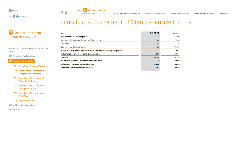

**back of forward** 



1st Quarter of 2022 **[Letter from the Executive Board](#page-2-0) [Economic Performance](#page-3-0) [Financial Information](#page-8-2) [Additional Information](#page-15-0) [Contact](#page-16-0)**

# <span id="page-9-0"></span>Consolidated Statement of Comprehensive Income

### Quarterly Statement 1<sup>st</sup> Quarter of 2022

003 [Letter from the Executive Board](#page-2-0) tive Board

004 [Economic Performance](#page-3-0) 

#### **009 [Financial Information](#page-8-0)**

009 [Consolidated Income Statement](#page-8-1) 

- **010 [Consolidated Statement of](#page-9-0)  [Comprehensive Income](#page-9-0)**
- 011 [Consolidated Statement of](#page-10-0)  [Financial Position](#page-10-0)
- 012 [Consolidated Statement of](#page-11-0)  [Changes in Equity](#page-11-0)
- 013 [Consolidated Statement of](#page-12-0)  [Cash Flows](#page-12-0)

#### 014 [Segment Report](#page-13-0)

016 [Additional Information](#page-15-0) 

| <b>EURK</b>                                                              | Q1 2022  | Q1 2021  |
|--------------------------------------------------------------------------|----------|----------|
| Net Income/Loss for the period                                           | 5,211    | 4,140    |
| Net gains (PY: net losses) from cash flow hedges                         | 966      | $-786$   |
| Tax effect                                                               | $-194$   | 230      |
| Currency translation difference                                          | $-60$    | 1,521    |
| Items that may be reclassified to profit and loss in a subsequent period | 712      | 965      |
| Actuarial gains on defined benefit pension plans                         | 7,880    | 4,888    |
| Tax effect                                                               | $-2,106$ | $-1,390$ |
| Items that will not be reclassified to profit or loss                    | 5,774    | 3,498    |
| Other comprehensive income after tax                                     | 6,486    | 4,463    |
| Total comprehensive income after tax                                     | 11,697   | 8,603    |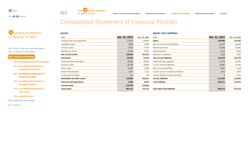

**back <br>
••** forward



1st Quarter of 2022 **[Letter from the Executive Board](#page-2-0) [Economic Performance](#page-3-0) [Financial Information](#page-8-2) [Additional Information](#page-15-0) [Contact](#page-16-0)**

# <span id="page-10-0"></span>Consolidated Statement of Financial Position

| Q uarterly Statement            |  |
|---------------------------------|--|
| 1 <sup>st</sup> Quarter of 2022 |  |

003 [Letter from the Executive Board](#page-2-0)  004 [Economic Performance](#page-3-0) 

**009 [Financial Information](#page-8-0)** 

009 [Consolidated Income Statement](#page-8-1) 

 010 [Consolidated Statement of](#page-9-0)  [Comprehensive Income](#page-9-0) 

 **011 [Consolidated Statement of](#page-10-0)  [Financial Position](#page-10-0)** 

 012 [Consolidated Statement of](#page-11-0)  [Changes in Equity](#page-11-0) 

 013 [Consolidated Statement of](#page-12-0)  [Cash](#page-12-0) Flows

014 [Segment Report](#page-13-0) 

016 [Additional Information](#page-15-0) 

| <b>Assets</b>                       |               |               | <b>Equity and Liabilities</b>         |               |               |
|-------------------------------------|---------------|---------------|---------------------------------------|---------------|---------------|
| <b>EURk</b>                         | Mar. 31, 2022 | Dec. 31, 2021 | <b>EURk</b>                           | Mar. 31, 2022 | Dec. 31, 2021 |
| Property, plant and equipment       | 177,074       | 179,920       | <b>Equity</b>                         | 136,998       | 125,301       |
| Intangible assets                   | 8,955         | 8,960         | Non-current financial liabilities     | 61,227        | 68,926        |
| Contract assets                     | 17,827        | 17,794        | Pension provisions                    | 54,058        | 61,897        |
| Deferred tax assets                 | 15,796        | 17,937        | Other provisions                      | 2,446         | 2,456         |
| <b>Non-current assets</b>           | 219,652       | 224,611       | Deferred tax liabilities              | 1,618         | 1,997         |
| <b>Inventories</b>                  | 36,894        | 32,613        | <b>Non-current liabilities</b>        | 119,349       | 135,276       |
| Trade and other receivables         | 50,282        | 39,930        | Trade and other payables              | 74,176        | 61,597        |
| Contract assets                     | 65,438        | 59,065        | Current financial liabilities         | 53,981        | 41,590        |
| Other assets                        | 12,395        | 8,766         | Other financial liabilities           | 4,097         | 4,210         |
| Other financial assets              | 1,637         | 1,121         | Current portion of pension provisions | 1,841         | 1,841         |
| Income tax receivables              | 211           | 259           | Current portion of other provisions   |               | 3,457         |
| <b>Receivables and other assets</b> | 129,963       | 109,141       | <b>Current liabilities</b>            | 134,095       | 112,695       |
| <b>Cash and cash equivalents</b>    | 3,933         | 6,907         | <b>Total liabilities</b>              | 253,444       | 247,971       |
| <b>Current assets</b>               | 170,790       | 148,661       |                                       |               |               |
| <b>Total assets</b>                 | 390,442       | 373,272       | <b>Total equity and liabilities</b>   | 390,442       | 373,272       |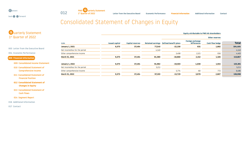

**back of forward** 



1st Quarter of 2022 **[Letter from the Executive Board](#page-2-0) [Economic Performance](#page-3-0) [Financial Information](#page-8-2) [Additional Information](#page-15-0) [Contact](#page-16-0)**

# <span id="page-11-0"></span>Consolidated Statement of Changes in Equity

## Q uarterly Statement 1st Quarter of 2022

003 [Letter from the Executive Board](#page-2-0) 

004 [Economic Performance](#page-3-0) 

#### **009 [Financial Information](#page-8-0)**

009 [Consolidated Income Statement](#page-8-1) 

 010 [Consolidated Statement of](#page-9-0)  [Comprehensive Income](#page-9-0) 

 011 [Consolidated Statement of](#page-10-0)  [Financial Position](#page-10-0) 

 **012 [Consolidated Statement of](#page-11-0)  [Changes in Equity](#page-11-0)**

 013 [Consolidated Statement of](#page-12-0)  [Cash Flows](#page-12-0)

014 [Segment Report](#page-13-0) 

016 [Additional Information](#page-15-0) 

|                                |                       |                         |                          | <b>Equity attributable to PWO AG shareholders</b> |                                        |                        |              |  |
|--------------------------------|-----------------------|-------------------------|--------------------------|---------------------------------------------------|----------------------------------------|------------------------|--------------|--|
|                                |                       | <b>Capital reserves</b> |                          |                                                   |                                        | <b>Other reserves</b>  |              |  |
| <b>EURK</b>                    | <b>Issued capital</b> |                         | <b>Retained earnings</b> | <b>Defined benefit plans</b>                      | <b>Foreign exchange</b><br>differences | <b>Cash flow hedge</b> | <b>Total</b> |  |
| <b>January 1, 2021</b>         | 9,375                 | 37,494                  | 77,240                   | $-22,158$                                         | 631                                    | 1,882                  | 104,464      |  |
| Net income/loss for the period |                       |                         | 4,140                    |                                                   |                                        |                        | 4,140        |  |
| Other comprehensive income     |                       |                         |                          | 3,498                                             | 1,521                                  | $-556$                 | 4,463        |  |
| March 31, 2021                 | 9,375                 | 37,494                  | 81,380                   | $-18,660$                                         | 2,152                                  | 1,326                  | 113,067      |  |
| <b>January 1, 2022</b>         | 9,375                 | 37,494                  | 91,982                   | $-19,503$                                         | 4,038                                  | 1,915                  | 125,301      |  |
| Net income/loss for the period |                       |                         | 5,211                    |                                                   |                                        |                        | 5,211        |  |
| Other comprehensive income     |                       |                         |                          | 5,774                                             | $-60$                                  | 772                    | 6,486        |  |
| March 31, 2022                 | 9,375                 | 37,494                  | 97,193                   | $-13,729$                                         | 3,978                                  | 2,687                  | 136,998      |  |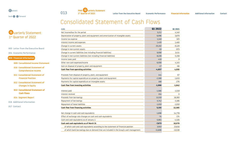



003 [Letter from the Executive Board](#page-2-0) 

004 [Economic Performance](#page-3-0) 

#### **009 [Financial Information](#page-8-0)**

009 [Consolidated Income Statement](#page-8-1) 

- 010 [Consolidated Statement of](#page-9-0)  [Comprehensive Income](#page-9-0)
- 011 [Consolidated Statement of](#page-10-0)  [Financial Position](#page-10-0)

 012 [Consolidated Statement of](#page-11-0)  [Changes in Equity](#page-11-0)

 **013 [Consolidated Statement of](#page-12-0)  [Cash Flows](#page-12-0)** 

014 [Segment Report](#page-13-0) 

016 [Additional Information](#page-15-0) 

017 [Contact](#page-16-0) 

<span id="page-12-0"></span>

| Consolidated Statement of Cash Flows |  |  |
|--------------------------------------|--|--|

**O13** PWO **Q** uarterly Statement

| <b>EURk</b>                                                                             | Q1 2022   | <b>Q1 2021</b> |
|-----------------------------------------------------------------------------------------|-----------|----------------|
| Net income/loss for the period                                                          | 5,211     | 4,140          |
| Depreciation of property, plant and equipment and amortization of intangible assets     | 6,096     | 5,879          |
| Income tax expense                                                                      | 1,140     | 325            |
| Interest income and expenses                                                            | 1,420     | 1,460          |
| Change in current assets                                                                | $-25,102$ | $-9,129$       |
| Change in non-current assets                                                            | $-33$     | $-975$         |
| Change in current liabilities (not including financial liabilities)                     | 9,008     | 3,414          |
| Change in non-current liabilities (not including financial liabilities)                 | $-8,228$  | $-5,158$       |
| Income taxes paid                                                                       | $-410$    | 0              |
| Other non-cash expenses/income                                                          | 6,058     | 4,145          |
| Gain on disposal of property, plant and equipment                                       | $-17$     | $-66$          |
| Cash flow from operating activities                                                     | $-4,857$  | 4,035          |
| Proceeds from disposal of property, plant, and equipment                                | 144       | 67             |
| Payments for capital expenditure on property, plant and equipment                       | $-2,308$  | $-1,633$       |
| Payments for capital expenditure on intangible assets                                   | 168       | $-276$         |
| <b>Cash flow from investing activities</b>                                              | $-1,996$  | $-1,842$       |
| Interest paid                                                                           | $-1,566$  | $-1,519$       |
| Interest received                                                                       | 154       | 0              |
| Proceeds from borrowings                                                                | 13,319    | 18,300         |
| Repayment of borrowings                                                                 | $-5,742$  | $-3,186$       |
| Repayment of lease liabilities                                                          | $-1,010$  | $-1,010$       |
| <b>Cash flow from financing activities</b>                                              | 5,155     | 12,585         |
| Net change in cash and cash equivalents                                                 | $-1,698$  | 14,778         |
| Effect of exchange rate changes on cash and cash equivalents                            | $-74$     | $-174$         |
| Cash and cash equivalents as of January 1                                               | $-5,901$  | $-4,526$       |
| Cash and cash equivalents as of March 31                                                | $-7,673$  | 10,078         |
| of which cash and cash equivalents according to the statement of financial position     | 3,933     | 23,616         |
| of which bank borrowings due on demand that are included in the Group's cash management | $-11,606$ | $-13,538$      |
|                                                                                         |           |                |

1st Quarter of 2022 **[Letter from the Executive Board](#page-2-0) [Economic Performance](#page-3-0) [Financial Information](#page-8-2) [Additional Information](#page-15-0) [Contact](#page-16-0)**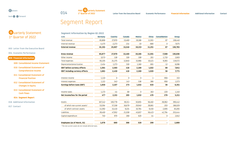

# <span id="page-13-0"></span>Segment Report

|             | <b>Q</b> uarterly Statement<br>1st Quarter of 2022           |
|-------------|--------------------------------------------------------------|
|             | 003 Letter from the Executive Board                          |
|             | 004 Economic Performance                                     |
|             | 009 Financial Information                                    |
|             | 009 Consolidated Income Statement                            |
|             | 010 Consolidated Statement of<br><b>Comprehensive Income</b> |
|             | 011 Consolidated Statement of<br><b>Financial Position</b>   |
|             | 012 Consolidated Statement of<br><b>Changes in Equity</b>    |
|             | 013 Consolidated Statement of<br><b>Cash Flows</b>           |
|             | 014 Segment Report                                           |
|             | 016 Additional Information                                   |
| 017 Contact |                                                              |

| <b>Segment Information by Region Q1 2022</b> |                |                |               |               |              |                      |              |
|----------------------------------------------|----------------|----------------|---------------|---------------|--------------|----------------------|--------------|
| <b>EURK</b>                                  | <b>Germany</b> | <b>Czechia</b> | <b>Canada</b> | <b>Mexico</b> | <b>China</b> | <b>Consolidation</b> | <b>Group</b> |
| Total revenue                                | 65,806         | 27,970         | 13,460        | 19,186        | 11,931       | 87                   | 138,440      |
| Internal revenue                             | $-4,475$       | $-2,273$       | $-214$        | $-33$         | $-680$       | 0                    | $-7,675$     |
| <b>External revenue</b>                      | 61,331         | 25,697         | 13,246        | 19,153        | 11,251       | 87                   | 130,765      |
| <b>Gross revenue</b>                         | 65,877         | 27,970         | 13,460        | 19,186        | 11,931       | $-7,588$             | 130,836      |
| Other income                                 | 3,573          | 128            | 326           | 108           | 201          | $-1,733$             | 2,603        |
| Total expenses                               | 65,335         | 24,375         | 12,840        | 15,966        | 10,421       | $-9,365$             | 119,572      |
| Depreciation/amortization                    | 2,454          | 1,273          | 530           | 1,160         | 691          | $-12$                | 6,096        |
| <b>EBIT before currency effects</b>          | 1,564          | 2,583          | 416           | 2,188         | 1,022        | 68                   | 7,841        |
| <b>EBIT including currency effects</b>       | 1,661          | 2,450          | 416           | 2,168         | 1,020        | 56                   | 7,771        |
| Interest income                              | 1,110          | 0              | 0             | 0             | $-1$         | $-956$               | 153          |
| Interest expenses                            | 1,121          | 343            | 143           | 536           | 386          | $-956$               | 1,573        |
| <b>Earnings before taxes (EBT)</b>           | 1,650          | 2,107          | 273           | 1,632         | 633          | 56                   | 6,351        |
| Income taxes                                 | 1,173          | $-44$          | 68            | 0             | 163          | $-220$               | 1,140        |
| Net income/loss for the period               | 477            | 2,151          | 205           | 1,632         | 470          | 276                  | 5,211        |
| Assets                                       | 167,142        | 100,778        | 39,311        | 63,691        | 56,482       | $-36,962$            | 390,442      |
| of which non-current assets <sup>1</sup>     | 53,594         | 57,338         | 16,679        | 29,940        | 28,681       | $-203$               | 186,029      |
| of which contract assets                     | 41,092         | 15,410         | 9,224         | 10,784        | 9,450        | $-2,695$             | 83,265       |
| Liabilities                                  | 39,400         | 47,952         | 21,038        | 45,837        | 56,423       | 42,794               | 253,444      |
| Capital expenditure                          | 740            | 970            | 268           | 620           | 44           | 0                    | 2,642        |
| <b>Employees (as of March, 31)</b>           | 1,076          | 680            | 306           | 528           | 299          |                      | 2,889        |

1 The non-current assets do not include deferred taxes.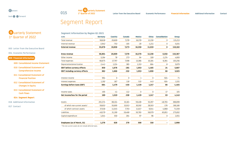

# Segment Report

| <b>Q</b> uarterly Statement<br>1st Quarter of 2022           |  |  |  |  |  |  |  |  |  |
|--------------------------------------------------------------|--|--|--|--|--|--|--|--|--|
| 003 Letter from the Executive Board                          |  |  |  |  |  |  |  |  |  |
| 004 Fconomic Performance                                     |  |  |  |  |  |  |  |  |  |
| 009 Financial Information                                    |  |  |  |  |  |  |  |  |  |
| 009 Consolidated Income Statement                            |  |  |  |  |  |  |  |  |  |
| 010 Consolidated Statement of<br><b>Comprehensive Income</b> |  |  |  |  |  |  |  |  |  |
| 011 Consolidated Statement of<br><b>Financial Position</b>   |  |  |  |  |  |  |  |  |  |
| 012 Consolidated Statement of<br><b>Changes in Equity</b>    |  |  |  |  |  |  |  |  |  |
| 013 Consolidated Statement of<br><b>Cash Flows</b>           |  |  |  |  |  |  |  |  |  |
| 014 Segment Report                                           |  |  |  |  |  |  |  |  |  |
| 016 Additional Information                                   |  |  |  |  |  |  |  |  |  |
| 017 Contact                                                  |  |  |  |  |  |  |  |  |  |

| <b>Germany</b> | <b>Czechia</b> | <b>Canada</b> | <b>Mexico</b> | <b>China</b>               | <b>Consolidation</b> | <b>Group</b> |
|----------------|----------------|---------------|---------------|----------------------------|----------------------|--------------|
| 58,618         | 20,609         | 7,378         | 16,378        | 12,230                     | 0                    | 115,213      |
| $-2,942$       | $-753$         | $-105$        | $-20$         | $-1,211$                   | 0                    | $-5,031$     |
| 55,676         | 19,856         | 7,273         | 16,358        | 11,019                     | 0                    | 110,182      |
| 58,804         | 20,609         | 7,378         | 16,378        | 12,230                     | $-5,032$             | 110,367      |
| 5,194          | 78             | 273           | 94            | 328                        | $-1,274$             | 4,693        |
| 60,675         | 17,797         | 7,598         | 13,366        | 10,184                     | $-6,364$             | 103,256      |
| 2,441          | 1,224          | 385           | 1,153         | 684                        | -8                   | 5,879        |
| 850            | 1,676          | $-281$        | 1,953         | 1,465                      | 24                   | 5,687        |
| 882            | 1,666          | $-332$        | 1,953         | 1,690                      | 66                   | 5,925        |
| 994            | 0              | 0             | 1             | 0                          | $-924$               | 71           |
| 1,192          | 187            | 118           | 515           | 443                        | $-924$               | 1,531        |
| 684            | 1,479          | $-450$        | 1,439         | 1,247                      | 66                   | 4,465        |
| 495            | $-41$          | $-112$        | 0             | 0                          | $-17$                | 325          |
| 189            | 1,520          | $-338$        | 1,439         | 1,247                      | 83                   | 4,140        |
| 201,574        | 88,104         | 33,181        | 59,408        | 55,397                     | $-48,765$            | 388,899      |
| 59,653         | 55,695         | 15,913        | 30,592        | 28,503                     | $-176$               | 190,180      |
| 37,018         | 11,045         | 7,703         | 11,617        | 9,044                      | $-4,868$             | 71,559       |
| 49,579         | 31,190         | 19,468        | 50,765        | 58,979                     | 65,851               | 275,832      |
| 1,044          | 550            | 264           | 97            | 96                         | 0                    | 2,051        |
|                |                |               |               | 318                        |                      | 2,998        |
|                |                |               |               | 1,276<br>508<br>626<br>270 |                      |              |

1 The non-current assets do not include deferred taxes.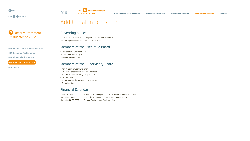Q uarterly Statement 1st Quarter of 2022

003 [Letter from the Executive Board](#page-2-0) 

004 [Economic Performance](#page-3-0) 

009 [Financial Information](#page-8-0) 

#### **016 [Additional Information](#page-15-0)**

017 [Contact](#page-16-0) 

# <span id="page-15-0"></span>Additional Information

**016** PWO **Q** uarterly Statement

### Governing bodies

There were no changes in the composition of the Executive Board and the Supervisory Board in the reporting period.

#### Members of the Executive Board

Carlo Lazzarini | Chairman/CEO Dr. Cornelia Ballwießer | CFO Johannes Obrecht | COO

### Members of the Supervisory Board

- Karl M. Schmidhuber | Chairman
- Dr. Georg Hengstberger | Deputy Chairman
- Andreas Bohnert | Employee Representative
- Carsten Claus
- Stefan Klemenz | Employee Representative
- Dr. Jochen Ruetz

### Financial Calendar

August 9, 2022 Interim Financial Report 2nd Quarter and First Half-Year of 2022 November 9, 2022 Quarterly Statement 3<sup>rd</sup> Quarter and 9 Months of 2022 November 28-30, 2022 German Equity Forum, Frankfurt/Main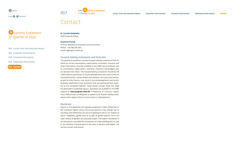Q uarterly Statement 1<sup>st</sup> Quarter of 2022

 [Letter from the Executive Board](#page-2-0)  [Economic Performance](#page-3-0)  [Financial Information](#page-8-0)  [Additional Information](#page-15-0) 

**017 [Contact](#page-16-0)** 

# **O17** PWO **Q** uarterly Statement

1st Quarter of 2022 **[Letter from the Executive Board](#page-2-0) [Economic Performance](#page-3-0) [Financial Information](#page-8-2) [Additional Information](#page-15-0) [Contact](#page-16-0)**

# <span id="page-16-0"></span>Contact

#### **Dr. Cornelia Ballwießer**

Chief Financial Officer

#### **Charlotte Frenzel**

Investor Relations & Corporate Communications Phone: + 49 7802 84-844 Email: [ir@progress-werk.de](mailto:ir%40progress-werk.de%20?subject=)

#### **Forward-looking statements and forecasts**

This quarterly statement contains forward-looking statements that are based on current assumptions, expectations, estimates, forecasts and other information currently available to the PWO Executive Board, and on assumptions, expectations, estimates, forecasts and budgets that are derived from these. The forward-looking statements should not be understood as guarantees of future developments and results that are mentioned therein. Various known and unknown risks and uncertainties, as well as other factors, may result in actual developments and results diverging significantly from estimates that are mentioned here explicitly or are contained implicitly. These factors include those that PWO has described in published reports, and which are available on the PWO website at **[www.progress-werk.de](http://www.progress-werk.de)**. Irrespective of statutory regulations, PWO accepts no obligation to update such forward-looking statements and to adjust them to future events or developments.

#### **Disclaimer**

Figures in this document are typically presented in EURk. Differences in the individual figures versus the actual amounts may emerge due to rounding. Such differences are not of a significant nature. For reasons of better readability, gender-neutral as well as gender-specific forms are used. Hereby all genders are expressly meant. The English translation of this document is provided for convenience of understanding only. In case of any different interpretation of the texts in German and English, the German version shall prevail.